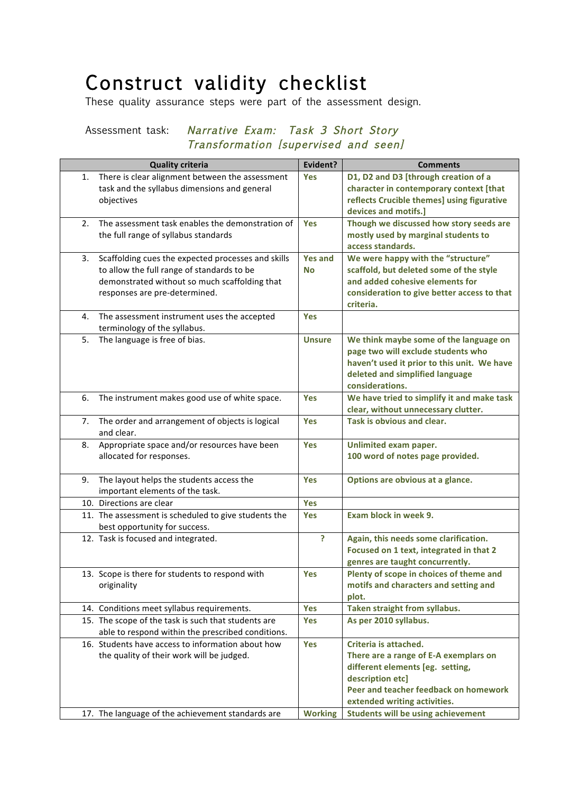## Construct validity checklist<br>These quality assurance steps were part of the assessment design.

## Assessment task: Narrative Exam: Task 3 Short Story Transformation [supervised and seen]

|    | <b>Quality criteria</b>                              | Evident?       | <b>Comments</b>                             |
|----|------------------------------------------------------|----------------|---------------------------------------------|
| 1. | There is clear alignment between the assessment      | <b>Yes</b>     | D1, D2 and D3 [through creation of a        |
|    | task and the syllabus dimensions and general         |                | character in contemporary context [that     |
|    | objectives                                           |                | reflects Crucible themes] using figurative  |
|    |                                                      |                | devices and motifs.]                        |
| 2. | The assessment task enables the demonstration of     | Yes            | Though we discussed how story seeds are     |
|    | the full range of syllabus standards                 |                | mostly used by marginal students to         |
|    |                                                      |                | access standards.                           |
| 3. | Scaffolding cues the expected processes and skills   | <b>Yes and</b> | We were happy with the "structure"          |
|    | to allow the full range of standards to be           | <b>No</b>      | scaffold, but deleted some of the style     |
|    | demonstrated without so much scaffolding that        |                | and added cohesive elements for             |
|    | responses are pre-determined.                        |                | consideration to give better access to that |
|    |                                                      |                | criteria.                                   |
| 4. | The assessment instrument uses the accepted          | <b>Yes</b>     |                                             |
|    | terminology of the syllabus.                         |                |                                             |
| 5. | The language is free of bias.                        | <b>Unsure</b>  | We think maybe some of the language on      |
|    |                                                      |                | page two will exclude students who          |
|    |                                                      |                | haven't used it prior to this unit. We have |
|    |                                                      |                | deleted and simplified language             |
|    |                                                      |                | considerations.                             |
| 6. | The instrument makes good use of white space.        | <b>Yes</b>     | We have tried to simplify it and make task  |
|    |                                                      |                | clear, without unnecessary clutter.         |
| 7. | The order and arrangement of objects is logical      | <b>Yes</b>     | Task is obvious and clear.                  |
|    | and clear.                                           |                |                                             |
| 8. | Appropriate space and/or resources have been         | Yes            | Unlimited exam paper.                       |
|    | allocated for responses.                             |                | 100 word of notes page provided.            |
|    |                                                      |                |                                             |
| 9. | The layout helps the students access the             | Yes            | Options are obvious at a glance.            |
|    | important elements of the task.                      |                |                                             |
|    | 10. Directions are clear                             | Yes            |                                             |
|    | 11. The assessment is scheduled to give students the | <b>Yes</b>     | Exam block in week 9.                       |
|    | best opportunity for success.                        |                |                                             |
|    | 12. Task is focused and integrated.                  | Ś.             | Again, this needs some clarification.       |
|    |                                                      |                | Focused on 1 text, integrated in that 2     |
|    |                                                      |                | genres are taught concurrently.             |
|    | 13. Scope is there for students to respond with      | Yes            | Plenty of scope in choices of theme and     |
|    | originality                                          |                | motifs and characters and setting and       |
|    |                                                      |                | plot.                                       |
|    | 14. Conditions meet syllabus requirements.           | Yes            | Taken straight from syllabus.               |
|    | 15. The scope of the task is such that students are  | <b>Yes</b>     | As per 2010 syllabus.                       |
|    | able to respond within the prescribed conditions.    |                |                                             |
|    | 16. Students have access to information about how    | Yes            | Criteria is attached.                       |
|    | the quality of their work will be judged.            |                | There are a range of E-A exemplars on       |
|    |                                                      |                | different elements [eg. setting,            |
|    |                                                      |                | description etc]                            |
|    |                                                      |                | Peer and teacher feedback on homework       |
|    |                                                      |                | extended writing activities.                |
|    | 17. The language of the achievement standards are    | <b>Working</b> | <b>Students will be using achievement</b>   |